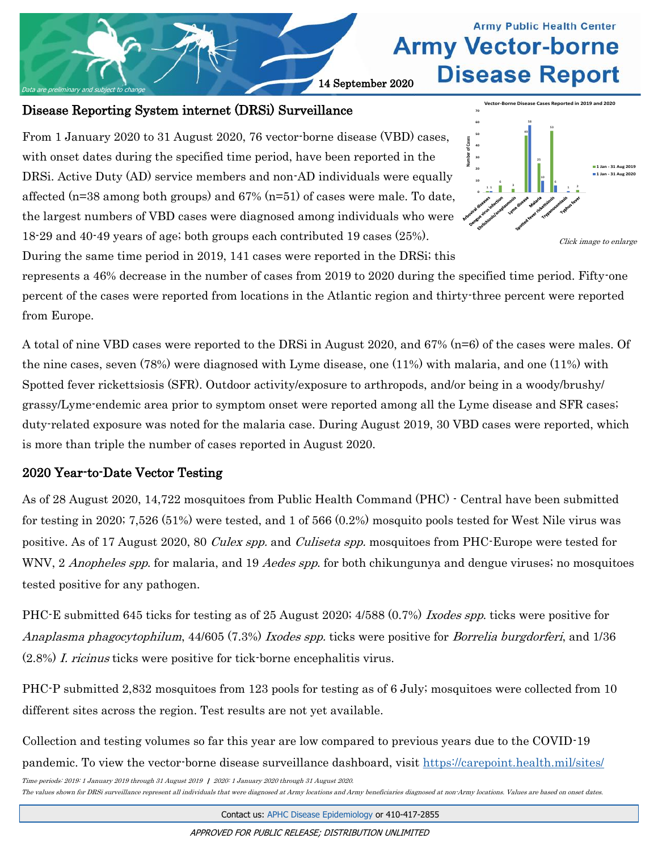

## Disease Reporting System internet (DRSi) Surveillance

From 1 January 2020 to 31 August 2020, 76 vector-borne disease (VBD) cases, with onset dates during the specified time period, have been reported in the DRSi. Active Duty (AD) service members and non-AD individuals were equally affected ( $n=38$  among both groups) and 67%  $(n=51)$  of cases were male. To date, the largest numbers of VBD cases were diagnosed among individuals who were 18-29 and 40-49 years of age; both groups each contributed 19 cases (25%).



During the same time period in 2019, 141 cases were reported in the DRSi; this represents a 46% decrease in the number of cases from 2019 to 2020 during the specified time period. Fifty-one percent of the cases were reported from locations in the Atlantic region and thirty-three percent were reported from Europe.

A total of nine VBD cases were reported to the DRSi in August 2020, and 67% (n=6) of the cases were males. Of the nine cases, seven (78%) were diagnosed with Lyme disease, one (11%) with malaria, and one (11%) with Spotted fever rickettsiosis (SFR). Outdoor activity/exposure to arthropods, and/or being in a woody/brushy/ grassy/Lyme-endemic area prior to symptom onset were reported among all the Lyme disease and SFR cases; duty-related exposure was noted for the malaria case. During August 2019, 30 VBD cases were reported, which is more than triple the number of cases reported in August 2020.

## 2020 Year-to-Date Vector Testing

As of 28 August 2020, 14,722 mosquitoes from Public Health Command (PHC) - Central have been submitted for testing in 2020; 7,526 (51%) were tested, and 1 of 566 (0.2%) mosquito pools tested for West Nile virus was positive. As of 17 August 2020, 80 *Culex spp.* and *Culiseta spp.* mosquitoes from PHC-Europe were tested for WNV, 2 *Anopheles spp.* for malaria, and 19 *Aedes spp.* for both chikungunya and dengue viruses; no mosquitoes tested positive for any pathogen.

PHC-E submitted 645 ticks for testing as of 25 August 2020; 4/588 (0.7%) Ixodes spp. ticks were positive for Anaplasma phagocytophilum, 44/605 (7.3%) Ixodes spp. ticks were positive for Borrelia burgdorferi, and 1/36 (2.8%) I. ricinus ticks were positive for tick-borne encephalitis virus.

PHC-P submitted 2,832 mosquitoes from 123 pools for testing as of 6 July; mosquitoes were collected from 10 different sites across the region. Test results are not yet available.

Collection and testing volumes so far this year are low compared to previous years due to the COVID-19 pandemic. To view the vector-borne disease surveillance dashboard, visit [https://carepoint.health.mil/sites/](https://carepoint.health.mil/sites/ENTO/)

Time periods: 2019: 1 January 2019 through 31 August 2019 | 2020: 1 January 2020 through 31 August 2020.

The values shown for DRSi surveillance represent all individuals that were diagnosed at Army locations and Army beneficiaries diagnosed at non-Army locations. Values are based on onset dates.

Contact us: [APHC Disease Epidemiology](mailto:usarmy.apg.medcom-phc.mbx.disease-epidemiologyprogram13@mail.mil?subject=Vector-borne%20Disease%20Report) or 410-417-2855